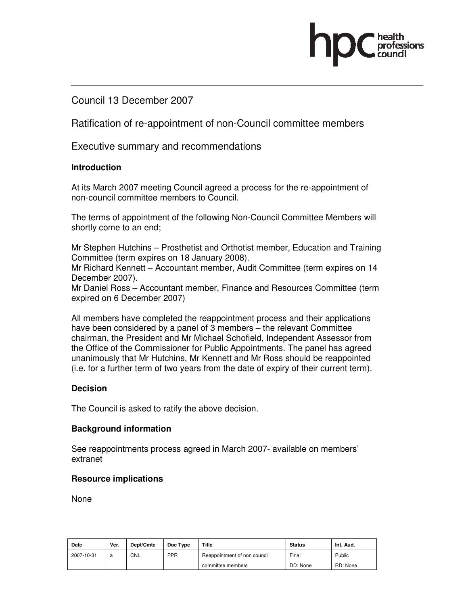### Council 13 December 2007

Ratification of re-appointment of non-Council committee members

Executive summary and recommendations

### **Introduction**

At its March 2007 meeting Council agreed a process for the re-appointment of non-council committee members to Council.

The terms of appointment of the following Non-Council Committee Members will shortly come to an end;

Mr Stephen Hutchins – Prosthetist and Orthotist member, Education and Training Committee (term expires on 18 January 2008).

Mr Richard Kennett – Accountant member, Audit Committee (term expires on 14 December 2007).

Mr Daniel Ross – Accountant member, Finance and Resources Committee (term expired on 6 December 2007)

All members have completed the reappointment process and their applications have been considered by a panel of 3 members – the relevant Committee chairman, the President and Mr Michael Schofield, Independent Assessor from the Office of the Commissioner for Public Appointments. The panel has agreed unanimously that Mr Hutchins, Mr Kennett and Mr Ross should be reappointed (i.e. for a further term of two years from the date of expiry of their current term).

#### **Decision**

The Council is asked to ratify the above decision.

#### **Background information**

See reappointments process agreed in March 2007- available on members' extranet

#### **Resource implications**

None

| Date       | Ver. | Dept/Cmte | Doc Type | Title                        | Status   | Int. Aud. |
|------------|------|-----------|----------|------------------------------|----------|-----------|
| 2007-10-31 | a    | CNL       | PPR      | Reappointment of non council | Final    | Public    |
|            |      |           |          | committee members            | DD: None | RD: None  |